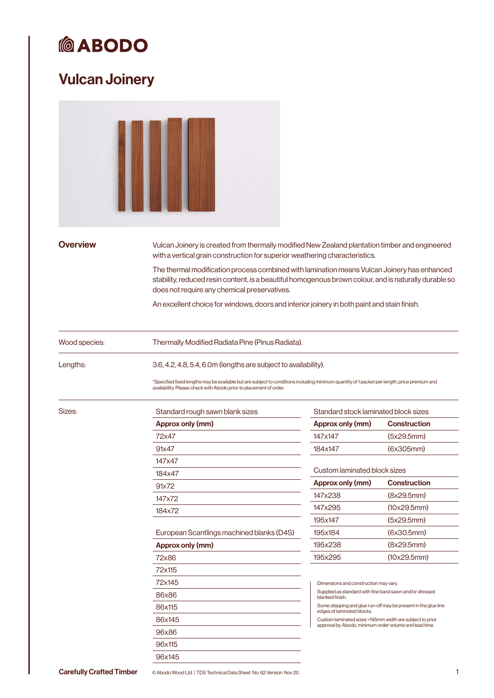## Vulcan Joinery

| <b>Overview</b> | Vulcan Joinery is created from thermally modified New Zealand plantation timber and engineered<br>with a vertical grain construction for superior weathering characteristics.                                                                                                                                                                       |                                                                                        |                                                                |  |
|-----------------|-----------------------------------------------------------------------------------------------------------------------------------------------------------------------------------------------------------------------------------------------------------------------------------------------------------------------------------------------------|----------------------------------------------------------------------------------------|----------------------------------------------------------------|--|
|                 | The thermal modification process combined with lamination means Vulcan Joinery has enhanced<br>stability, reduced resin content, is a beautiful homogenous brown colour, and is naturally durable so<br>does not require any chemical preservatives.<br>An excellent choice for windows, doors and interior joinery in both paint and stain finish. |                                                                                        |                                                                |  |
| Wood species:   | Thermally Modified Radiata Pine (Pinus Radiata).                                                                                                                                                                                                                                                                                                    |                                                                                        |                                                                |  |
| Lengths:        | 3.6, 4.2, 4.8, 5.4, 6.0m (lengths are subject to availability).<br>*Specified fixed lengths may be available but are subject to conditions including minimum quantity of 1 packet per length, price premium and<br>availability. Please check with Abodo prior to placement of order.                                                               |                                                                                        |                                                                |  |
| Sizes:          | Standard rough sawn blank sizes                                                                                                                                                                                                                                                                                                                     | Standard stock laminated block sizes                                                   |                                                                |  |
|                 | Approx only (mm)                                                                                                                                                                                                                                                                                                                                    | Approx only (mm)                                                                       | <b>Construction</b>                                            |  |
|                 | 72x47                                                                                                                                                                                                                                                                                                                                               | 147x147                                                                                | (5x29.5mm)                                                     |  |
|                 | 91x47                                                                                                                                                                                                                                                                                                                                               | 184x147                                                                                | (6x305mm)                                                      |  |
|                 | 147x47                                                                                                                                                                                                                                                                                                                                              |                                                                                        |                                                                |  |
|                 | 184x47                                                                                                                                                                                                                                                                                                                                              | Custom laminated block sizes                                                           |                                                                |  |
|                 | 91x72                                                                                                                                                                                                                                                                                                                                               | Approx only (mm)                                                                       | <b>Construction</b>                                            |  |
|                 | 147x72                                                                                                                                                                                                                                                                                                                                              | 147x238                                                                                | (8x29.5mm)                                                     |  |
|                 | 184x72                                                                                                                                                                                                                                                                                                                                              | 147x295                                                                                | (10x29.5mm)                                                    |  |
|                 |                                                                                                                                                                                                                                                                                                                                                     | 195x147                                                                                | (5x29.5mm)                                                     |  |
|                 | European Scantlings machined blanks (D4S)                                                                                                                                                                                                                                                                                                           | 195x184                                                                                | (6x30.5mm)                                                     |  |
|                 | Approx only (mm)                                                                                                                                                                                                                                                                                                                                    | 195x238                                                                                | (8x29.5mm)                                                     |  |
|                 | 72x86                                                                                                                                                                                                                                                                                                                                               | 195x295                                                                                | (10x29.5mm)                                                    |  |
|                 | 72x115                                                                                                                                                                                                                                                                                                                                              |                                                                                        |                                                                |  |
|                 | 72x145                                                                                                                                                                                                                                                                                                                                              | Dimensions and construction may vary.                                                  |                                                                |  |
|                 | 86x86                                                                                                                                                                                                                                                                                                                                               | Supplied as standard with fine band sawn and/or dressed                                |                                                                |  |
|                 | 86x115                                                                                                                                                                                                                                                                                                                                              | blanked finish.                                                                        | Some stepping and glue run-off may be present in the glue line |  |
|                 | 86x145                                                                                                                                                                                                                                                                                                                                              | edges of laminated blocks.<br>Custom laminated sizes >195mm width are subject to prior |                                                                |  |
|                 | 96x86                                                                                                                                                                                                                                                                                                                                               | approval by Abodo, minimum order volume and lead time.                                 |                                                                |  |
|                 |                                                                                                                                                                                                                                                                                                                                                     |                                                                                        |                                                                |  |
|                 | 96x115                                                                                                                                                                                                                                                                                                                                              |                                                                                        |                                                                |  |
|                 | 96x145                                                                                                                                                                                                                                                                                                                                              |                                                                                        |                                                                |  |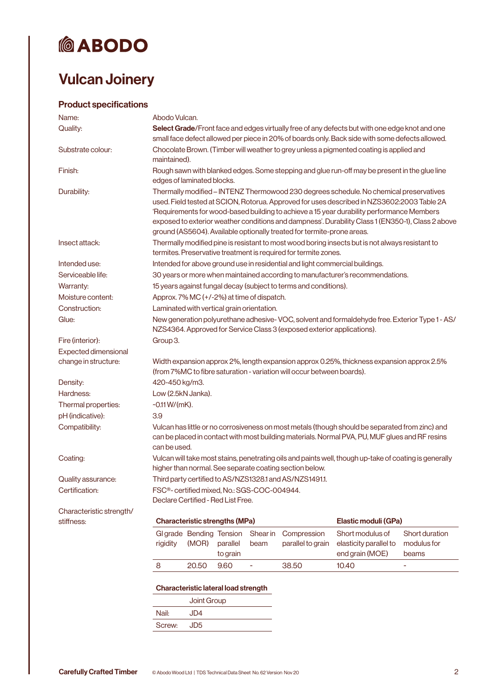### Vulcan Joinery

### Product specifications

| Name:                       | Abodo Vulcan.                                                                                                                                                                                     |                                   |                                             |                                                          |                                                                              |                                                                                                                                                                                                                                                                                                                                                                                        |                                        |
|-----------------------------|---------------------------------------------------------------------------------------------------------------------------------------------------------------------------------------------------|-----------------------------------|---------------------------------------------|----------------------------------------------------------|------------------------------------------------------------------------------|----------------------------------------------------------------------------------------------------------------------------------------------------------------------------------------------------------------------------------------------------------------------------------------------------------------------------------------------------------------------------------------|----------------------------------------|
| Quality:                    | Select Grade/Front face and edges virtually free of any defects but with one edge knot and one<br>small face defect allowed per piece in 20% of boards only. Back side with some defects allowed. |                                   |                                             |                                                          |                                                                              |                                                                                                                                                                                                                                                                                                                                                                                        |                                        |
| Substrate colour:           | Chocolate Brown. (Timber will weather to grey unless a pigmented coating is applied and<br>maintained).                                                                                           |                                   |                                             |                                                          |                                                                              |                                                                                                                                                                                                                                                                                                                                                                                        |                                        |
| Finish:                     | edges of laminated blocks.                                                                                                                                                                        |                                   |                                             |                                                          |                                                                              | Rough sawn with blanked edges. Some stepping and glue run-off may be present in the glue line                                                                                                                                                                                                                                                                                          |                                        |
| Durability:                 |                                                                                                                                                                                                   |                                   |                                             |                                                          | ground (AS5604). Available optionally treated for termite-prone areas.       | Thermally modified - INTENZ Thermowood 230 degrees schedule. No chemical preservatives<br>used. Field tested at SCION, Rotorua. Approved for uses described in NZS3602:2003 Table 2A<br>'Requirements for wood-based building to achieve a 15 year durability performance Members<br>exposed to exterior weather conditions and dampness'. Durability Class 1 (EN350-1), Class 2 above |                                        |
| Insect attack:              |                                                                                                                                                                                                   |                                   |                                             |                                                          | termites. Preservative treatment is required for termite zones.              | Thermally modified pine is resistant to most wood boring insects but is not always resistant to                                                                                                                                                                                                                                                                                        |                                        |
| Intended use:               |                                                                                                                                                                                                   |                                   |                                             |                                                          | Intended for above ground use in residential and light commercial buildings. |                                                                                                                                                                                                                                                                                                                                                                                        |                                        |
| Serviceable life:           |                                                                                                                                                                                                   |                                   |                                             |                                                          |                                                                              | 30 years or more when maintained according to manufacturer's recommendations.                                                                                                                                                                                                                                                                                                          |                                        |
| Warranty:                   |                                                                                                                                                                                                   |                                   |                                             |                                                          | 15 years against fungal decay (subject to terms and conditions).             |                                                                                                                                                                                                                                                                                                                                                                                        |                                        |
| Moisture content:           |                                                                                                                                                                                                   |                                   |                                             | Approx. 7% MC (+/-2%) at time of dispatch.               |                                                                              |                                                                                                                                                                                                                                                                                                                                                                                        |                                        |
| Construction:               | Laminated with vertical grain orientation.                                                                                                                                                        |                                   |                                             |                                                          |                                                                              |                                                                                                                                                                                                                                                                                                                                                                                        |                                        |
| Glue:                       |                                                                                                                                                                                                   |                                   |                                             |                                                          | NZS4364. Approved for Service Class 3 (exposed exterior applications).       | New generation polyurethane adhesive-VOC, solvent and formaldehyde free. Exterior Type 1 - AS/                                                                                                                                                                                                                                                                                         |                                        |
| Fire (interior):            | Group 3.                                                                                                                                                                                          |                                   |                                             |                                                          |                                                                              |                                                                                                                                                                                                                                                                                                                                                                                        |                                        |
| <b>Expected dimensional</b> |                                                                                                                                                                                                   |                                   |                                             |                                                          |                                                                              |                                                                                                                                                                                                                                                                                                                                                                                        |                                        |
| change in structure:        |                                                                                                                                                                                                   |                                   |                                             |                                                          | (from 7%MC to fibre saturation - variation will occur between boards).       | Width expansion approx 2%, length expansion approx 0.25%, thickness expansion approx 2.5%                                                                                                                                                                                                                                                                                              |                                        |
| Density:                    | 420-450 kg/m3.                                                                                                                                                                                    |                                   |                                             |                                                          |                                                                              |                                                                                                                                                                                                                                                                                                                                                                                        |                                        |
| Hardness:                   | Low (2.5kN Janka).                                                                                                                                                                                |                                   |                                             |                                                          |                                                                              |                                                                                                                                                                                                                                                                                                                                                                                        |                                        |
| Thermal properties:         | $-0.11 W/(mK)$ .                                                                                                                                                                                  |                                   |                                             |                                                          |                                                                              |                                                                                                                                                                                                                                                                                                                                                                                        |                                        |
| pH (indicative):            | 3.9                                                                                                                                                                                               |                                   |                                             |                                                          |                                                                              |                                                                                                                                                                                                                                                                                                                                                                                        |                                        |
| Compatibility:              | can be used.                                                                                                                                                                                      |                                   |                                             |                                                          |                                                                              | Vulcan has little or no corrosiveness on most metals (though should be separated from zinc) and<br>can be placed in contact with most building materials. Normal PVA, PU, MUF glues and RF resins                                                                                                                                                                                      |                                        |
| Coating:                    |                                                                                                                                                                                                   |                                   |                                             |                                                          | higher than normal. See separate coating section below.                      | Vulcan will take most stains, penetrating oils and paints well, though up-take of coating is generally                                                                                                                                                                                                                                                                                 |                                        |
| Quality assurance:          |                                                                                                                                                                                                   |                                   |                                             |                                                          | Third party certified to AS/NZS1328.1 and AS/NZS1491.1.                      |                                                                                                                                                                                                                                                                                                                                                                                        |                                        |
| Certification:              | Declare Certified - Red List Free.                                                                                                                                                                |                                   |                                             | FSC <sup>®</sup> - certified mixed, No.: SGS-COC-004944. |                                                                              |                                                                                                                                                                                                                                                                                                                                                                                        |                                        |
| Characteristic strength/    |                                                                                                                                                                                                   |                                   |                                             |                                                          |                                                                              |                                                                                                                                                                                                                                                                                                                                                                                        |                                        |
| stiffness:                  |                                                                                                                                                                                                   |                                   | <b>Characteristic strengths (MPa)</b>       |                                                          |                                                                              | Elastic moduli (GPa)                                                                                                                                                                                                                                                                                                                                                                   |                                        |
|                             | rigidity                                                                                                                                                                                          | Gl grade Bending Tension<br>(MOR) | parallel<br>to grain                        | Shear in<br>beam                                         | Compression<br>parallel to grain                                             | Short modulus of<br>elasticity parallel to<br>end grain (MOE)                                                                                                                                                                                                                                                                                                                          | Short duration<br>modulus for<br>beams |
|                             | 8                                                                                                                                                                                                 | 20.50                             | 9.60                                        | ÷                                                        | 38.50                                                                        | 10.40                                                                                                                                                                                                                                                                                                                                                                                  | ÷                                      |
|                             |                                                                                                                                                                                                   | Joint Group                       | <b>Characteristic lateral load strength</b> |                                                          |                                                                              |                                                                                                                                                                                                                                                                                                                                                                                        |                                        |

Nail: JD4 Screw: JD5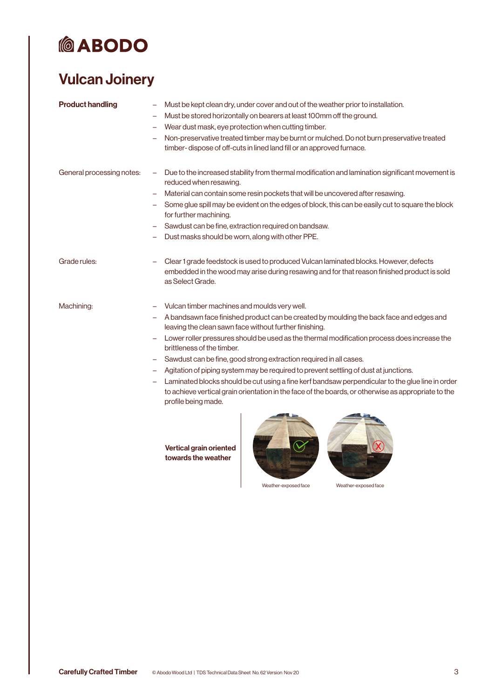### Vulcan Joinery

| <b>Product handling</b>   | Must be kept clean dry, under cover and out of the weather prior to installation.<br>Must be stored horizontally on bearers at least 100mm off the ground.<br>Wear dust mask, eye protection when cutting timber.<br>Non-preservative treated timber may be burnt or mulched. Do not burn preservative treated<br>timber-dispose of off-cuts in lined land fill or an approved furnace.                                                                                                                                                                                                                                                                                                                                        |
|---------------------------|--------------------------------------------------------------------------------------------------------------------------------------------------------------------------------------------------------------------------------------------------------------------------------------------------------------------------------------------------------------------------------------------------------------------------------------------------------------------------------------------------------------------------------------------------------------------------------------------------------------------------------------------------------------------------------------------------------------------------------|
| General processing notes: | Due to the increased stability from thermal modification and lamination significant movement is<br>reduced when resawing.<br>Material can contain some resin pockets that will be uncovered after resawing.<br>Some glue spill may be evident on the edges of block, this can be easily cut to square the block<br>for further machining.<br>Sawdust can be fine, extraction required on bandsaw.<br>Dust masks should be worn, along with other PPE.                                                                                                                                                                                                                                                                          |
| Grade rules:              | Clear 1 grade feedstock is used to produced Vulcan laminated blocks. However, defects<br>embedded in the wood may arise during resawing and for that reason finished product is sold<br>as Select Grade.                                                                                                                                                                                                                                                                                                                                                                                                                                                                                                                       |
| Machining:                | Vulcan timber machines and moulds very well.<br>A bandsawn face finished product can be created by moulding the back face and edges and<br>leaving the clean sawn face without further finishing.<br>Lower roller pressures should be used as the thermal modification process does increase the<br>brittleness of the timber.<br>Sawdust can be fine, good strong extraction required in all cases.<br>Agitation of piping system may be required to prevent settling of dust at junctions.<br>Laminated blocks should be cut using a fine kerf bandsaw perpendicular to the glue line in order<br>to achieve vertical grain orientation in the face of the boards, or otherwise as appropriate to the<br>profile being made. |
|                           | <b>Vertical grain oriented</b><br>towards the weather                                                                                                                                                                                                                                                                                                                                                                                                                                                                                                                                                                                                                                                                          |

Weather-exposed face Weather-exposed face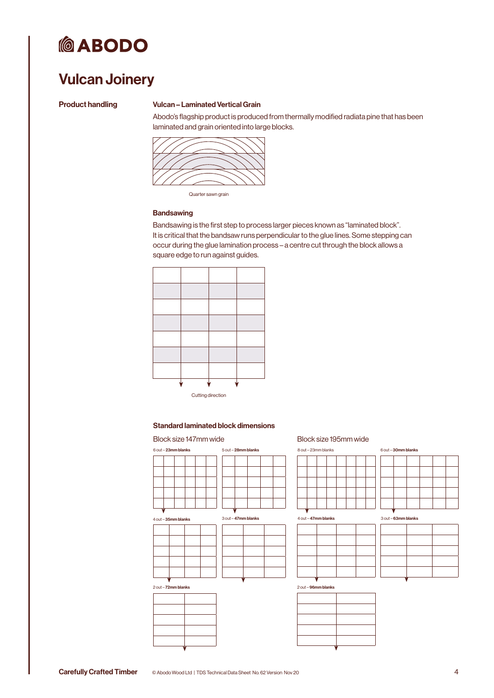

### Vulcan Joinery

#### Product handling Vulcan – Laminated Vertical Grain

Abodo's flagship product is produced from thermally modified radiata pine that has been laminated and grain oriented into large blocks.



Quarter sawn grain

#### **Bandsawing**

Bandsawing is the first step to process larger pieces known as "laminated block". It is critical that the bandsaw runs perpendicular to the glue lines. Some stepping can occur during the glue lamination process – a centre cut through the block allows a square edge to run against guides.



#### Standard laminated block dimensions

| 6 out - 23mm blanks |  |  | 5 out - 28mm blanks |  |  |  |  |
|---------------------|--|--|---------------------|--|--|--|--|
|                     |  |  |                     |  |  |  |  |
|                     |  |  |                     |  |  |  |  |
|                     |  |  |                     |  |  |  |  |
|                     |  |  |                     |  |  |  |  |

 $4$  out  $-$  35mm b



3 out – 47mm blanks



#### Block size 147mm wide Block size 195mm wide

| 8 out - 23mm blanks |  |  |  |
|---------------------|--|--|--|
|                     |  |  |  |
|                     |  |  |  |
|                     |  |  |  |
|                     |  |  |  |
|                     |  |  |  |
|                     |  |  |  |



| 6 out - 30mm blanks |  |  |  |  |
|---------------------|--|--|--|--|
|                     |  |  |  |  |
|                     |  |  |  |  |
|                     |  |  |  |  |
|                     |  |  |  |  |
|                     |  |  |  |  |
|                     |  |  |  |  |

3 out – 63mm blanks

2 out – 96mm blanks

| ÷ |  |
|---|--|
|   |  |
|   |  |
|   |  |
|   |  |
|   |  |
|   |  |

| <b>Carefully Crafted Timber</b> | $\odot$ A |
|---------------------------------|-----------|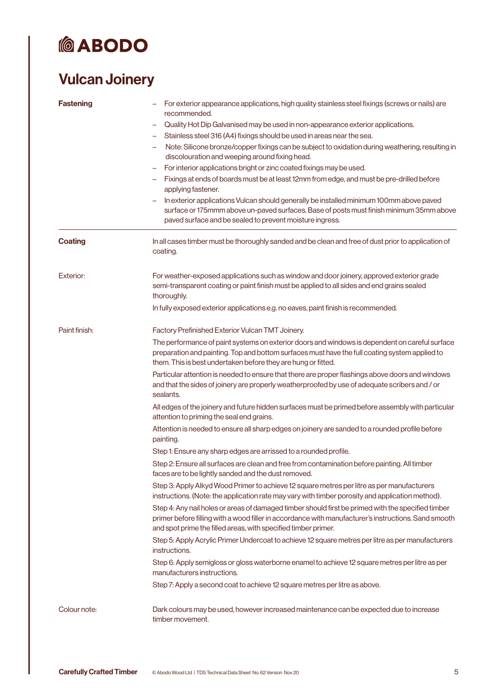## Vulcan Joinery

| <b>Fastening</b> | For exterior appearance applications, high quality stainless steel fixings (screws or nails) are<br>recommended.<br>Quality Hot Dip Galvanised may be used in non-appearance exterior applications.<br>$\qquad \qquad -$<br>Stainless steel 316 (A4) fixings should be used in areas near the sea.<br>-<br>Note: Silicone bronze/copper fixings can be subject to oxidation during weathering, resulting in<br>-<br>discolouration and weeping around fixing head.<br>For interior applications bright or zinc coated fixings may be used.<br>Fixings at ends of boards must be at least 12mm from edge, and must be pre-drilled before<br>applying fastener.<br>In exterior applications Vulcan should generally be installed minimum 100mm above paved<br>surface or 175mmm above un-paved surfaces. Base of posts must finish minimum 35mm above<br>paved surface and be sealed to prevent moisture ingress. |
|------------------|-----------------------------------------------------------------------------------------------------------------------------------------------------------------------------------------------------------------------------------------------------------------------------------------------------------------------------------------------------------------------------------------------------------------------------------------------------------------------------------------------------------------------------------------------------------------------------------------------------------------------------------------------------------------------------------------------------------------------------------------------------------------------------------------------------------------------------------------------------------------------------------------------------------------|
| <b>Coating</b>   | In all cases timber must be thoroughly sanded and be clean and free of dust prior to application of<br>coating.                                                                                                                                                                                                                                                                                                                                                                                                                                                                                                                                                                                                                                                                                                                                                                                                 |
| Exterior:        | For weather-exposed applications such as window and door joinery, approved exterior grade<br>semi-transparent coating or paint finish must be applied to all sides and end grains sealed<br>thoroughly.<br>In fully exposed exterior applications e.g. no eaves, paint finish is recommended.                                                                                                                                                                                                                                                                                                                                                                                                                                                                                                                                                                                                                   |
| Paint finish:    | Factory Prefinished Exterior Vulcan TMT Joinery.                                                                                                                                                                                                                                                                                                                                                                                                                                                                                                                                                                                                                                                                                                                                                                                                                                                                |
|                  | The performance of paint systems on exterior doors and windows is dependent on careful surface<br>preparation and painting. Top and bottom surfaces must have the full coating system applied to<br>them. This is best undertaken before they are hung or fitted.                                                                                                                                                                                                                                                                                                                                                                                                                                                                                                                                                                                                                                               |
|                  | Particular attention is needed to ensure that there are proper flashings above doors and windows<br>and that the sides of joinery are properly weatherproofed by use of adequate scribers and / or<br>sealants.                                                                                                                                                                                                                                                                                                                                                                                                                                                                                                                                                                                                                                                                                                 |
|                  | All edges of the joinery and future hidden surfaces must be primed before assembly with particular<br>attention to priming the seal end grains.                                                                                                                                                                                                                                                                                                                                                                                                                                                                                                                                                                                                                                                                                                                                                                 |
|                  | Attention is needed to ensure all sharp edges on joinery are sanded to a rounded profile before<br>painting.                                                                                                                                                                                                                                                                                                                                                                                                                                                                                                                                                                                                                                                                                                                                                                                                    |
|                  | Step 1: Ensure any sharp edges are arrissed to a rounded profile.                                                                                                                                                                                                                                                                                                                                                                                                                                                                                                                                                                                                                                                                                                                                                                                                                                               |
|                  | Step 2: Ensure all surfaces are clean and free from contamination before painting. All timber<br>faces are to be lightly sanded and the dust removed.                                                                                                                                                                                                                                                                                                                                                                                                                                                                                                                                                                                                                                                                                                                                                           |
|                  | Step 3: Apply Alkyd Wood Primer to achieve 12 square metres per litre as per manufacturers<br>instructions. (Note: the application rate may vary with timber porosity and application method).                                                                                                                                                                                                                                                                                                                                                                                                                                                                                                                                                                                                                                                                                                                  |
|                  | Step 4: Any nail holes or areas of damaged timber should first be primed with the specified timber<br>primer before filling with a wood filler in accordance with manufacturer's instructions. Sand smooth<br>and spot prime the filled areas, with specified timber primer.                                                                                                                                                                                                                                                                                                                                                                                                                                                                                                                                                                                                                                    |
|                  | Step 5: Apply Acrylic Primer Undercoat to achieve 12 square metres per litre as per manufacturers<br>instructions.                                                                                                                                                                                                                                                                                                                                                                                                                                                                                                                                                                                                                                                                                                                                                                                              |
|                  | Step 6: Apply semigloss or gloss waterborne enamel to achieve 12 square metres per litre as per<br>manufacturers instructions.                                                                                                                                                                                                                                                                                                                                                                                                                                                                                                                                                                                                                                                                                                                                                                                  |
|                  | Step 7: Apply a second coat to achieve 12 square metres per litre as above.                                                                                                                                                                                                                                                                                                                                                                                                                                                                                                                                                                                                                                                                                                                                                                                                                                     |
| Colour note:     | Dark colours may be used, however increased maintenance can be expected due to increase<br>timber movement.                                                                                                                                                                                                                                                                                                                                                                                                                                                                                                                                                                                                                                                                                                                                                                                                     |